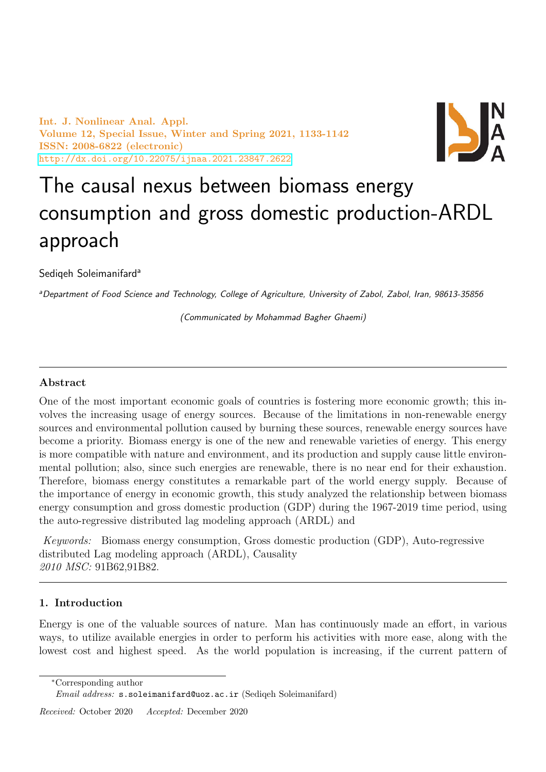Int. J. Nonlinear Anal. Appl. Volume 12, Special Issue, Winter and Spring 2021, 1133-1142 ISSN: 2008-6822 (electronic) <http://dx.doi.org/10.22075/ijnaa.2021.23847.2622>



# The causal nexus between biomass energy consumption and gross domestic production-ARDL approach

Sediqeh Soleimanifard<sup>a</sup>

aDepartment of Food Science and Technology, College of Agriculture, University of Zabol, Zabol, Iran, 98613-35856

(Communicated by Mohammad Bagher Ghaemi)

# Abstract

One of the most important economic goals of countries is fostering more economic growth; this involves the increasing usage of energy sources. Because of the limitations in non-renewable energy sources and environmental pollution caused by burning these sources, renewable energy sources have become a priority. Biomass energy is one of the new and renewable varieties of energy. This energy is more compatible with nature and environment, and its production and supply cause little environmental pollution; also, since such energies are renewable, there is no near end for their exhaustion. Therefore, biomass energy constitutes a remarkable part of the world energy supply. Because of the importance of energy in economic growth, this study analyzed the relationship between biomass energy consumption and gross domestic production (GDP) during the 1967-2019 time period, using the auto-regressive distributed lag modeling approach (ARDL) and

Keywords: Biomass energy consumption, Gross domestic production (GDP), Auto-regressive distributed Lag modeling approach (ARDL), Causality 2010 MSC: 91B62,91B82.

# 1. Introduction

Energy is one of the valuable sources of nature. Man has continuously made an effort, in various ways, to utilize available energies in order to perform his activities with more ease, along with the lowest cost and highest speed. As the world population is increasing, if the current pattern of

<sup>∗</sup>Corresponding author

Email address: s.soleimanifard@uoz.ac.ir (Sediqeh Soleimanifard)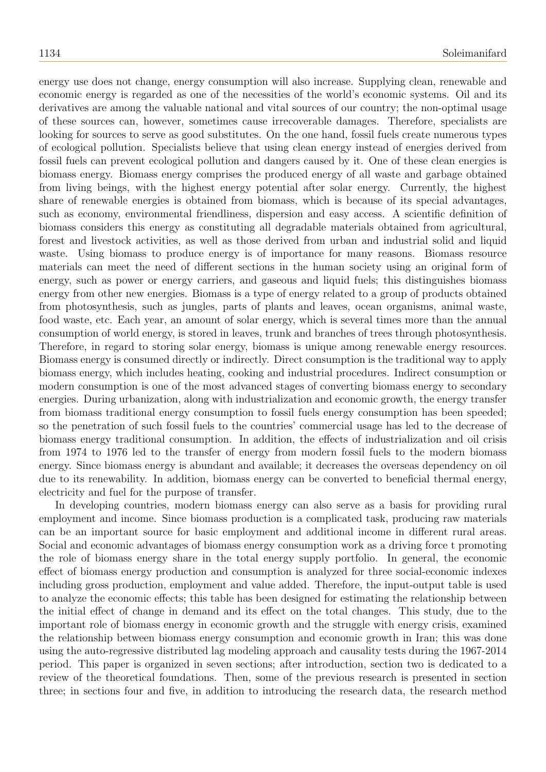energy use does not change, energy consumption will also increase. Supplying clean, renewable and economic energy is regarded as one of the necessities of the world's economic systems. Oil and its derivatives are among the valuable national and vital sources of our country; the non-optimal usage of these sources can, however, sometimes cause irrecoverable damages. Therefore, specialists are looking for sources to serve as good substitutes. On the one hand, fossil fuels create numerous types of ecological pollution. Specialists believe that using clean energy instead of energies derived from fossil fuels can prevent ecological pollution and dangers caused by it. One of these clean energies is biomass energy. Biomass energy comprises the produced energy of all waste and garbage obtained from living beings, with the highest energy potential after solar energy. Currently, the highest share of renewable energies is obtained from biomass, which is because of its special advantages, such as economy, environmental friendliness, dispersion and easy access. A scientific definition of biomass considers this energy as constituting all degradable materials obtained from agricultural, forest and livestock activities, as well as those derived from urban and industrial solid and liquid waste. Using biomass to produce energy is of importance for many reasons. Biomass resource materials can meet the need of different sections in the human society using an original form of energy, such as power or energy carriers, and gaseous and liquid fuels; this distinguishes biomass energy from other new energies. Biomass is a type of energy related to a group of products obtained from photosynthesis, such as jungles, parts of plants and leaves, ocean organisms, animal waste, food waste, etc. Each year, an amount of solar energy, which is several times more than the annual consumption of world energy, is stored in leaves, trunk and branches of trees through photosynthesis. Therefore, in regard to storing solar energy, biomass is unique among renewable energy resources. Biomass energy is consumed directly or indirectly. Direct consumption is the traditional way to apply biomass energy, which includes heating, cooking and industrial procedures. Indirect consumption or modern consumption is one of the most advanced stages of converting biomass energy to secondary energies. During urbanization, along with industrialization and economic growth, the energy transfer from biomass traditional energy consumption to fossil fuels energy consumption has been speeded; so the penetration of such fossil fuels to the countries' commercial usage has led to the decrease of biomass energy traditional consumption. In addition, the effects of industrialization and oil crisis from 1974 to 1976 led to the transfer of energy from modern fossil fuels to the modern biomass energy. Since biomass energy is abundant and available; it decreases the overseas dependency on oil due to its renewability. In addition, biomass energy can be converted to beneficial thermal energy, electricity and fuel for the purpose of transfer.

In developing countries, modern biomass energy can also serve as a basis for providing rural employment and income. Since biomass production is a complicated task, producing raw materials can be an important source for basic employment and additional income in different rural areas. Social and economic advantages of biomass energy consumption work as a driving force t promoting the role of biomass energy share in the total energy supply portfolio. In general, the economic effect of biomass energy production and consumption is analyzed for three social-economic indexes including gross production, employment and value added. Therefore, the input-output table is used to analyze the economic effects; this table has been designed for estimating the relationship between the initial effect of change in demand and its effect on the total changes. This study, due to the important role of biomass energy in economic growth and the struggle with energy crisis, examined the relationship between biomass energy consumption and economic growth in Iran; this was done using the auto-regressive distributed lag modeling approach and causality tests during the 1967-2014 period. This paper is organized in seven sections; after introduction, section two is dedicated to a review of the theoretical foundations. Then, some of the previous research is presented in section three; in sections four and five, in addition to introducing the research data, the research method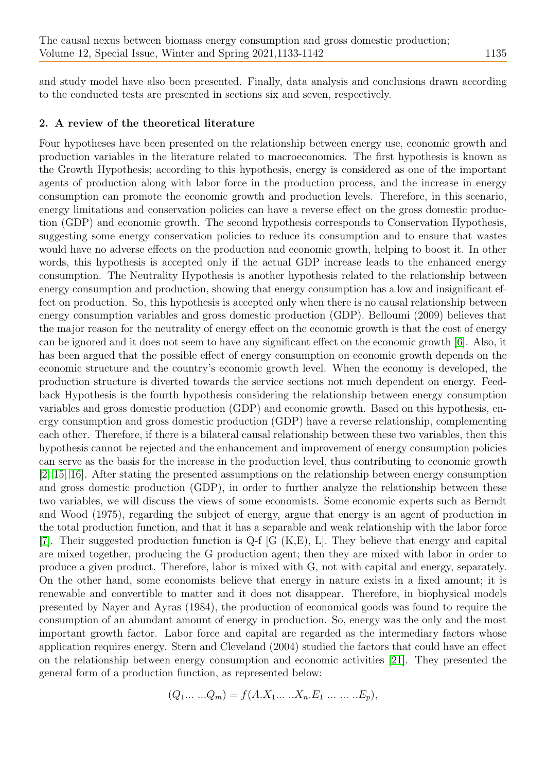and study model have also been presented. Finally, data analysis and conclusions drawn according to the conducted tests are presented in sections six and seven, respectively.

#### 2. A review of the theoretical literature

Four hypotheses have been presented on the relationship between energy use, economic growth and production variables in the literature related to macroeconomics. The first hypothesis is known as the Growth Hypothesis; according to this hypothesis, energy is considered as one of the important agents of production along with labor force in the production process, and the increase in energy consumption can promote the economic growth and production levels. Therefore, in this scenario, energy limitations and conservation policies can have a reverse effect on the gross domestic production (GDP) and economic growth. The second hypothesis corresponds to Conservation Hypothesis, suggesting some energy conservation policies to reduce its consumption and to ensure that wastes would have no adverse effects on the production and economic growth, helping to boost it. In other words, this hypothesis is accepted only if the actual GDP increase leads to the enhanced energy consumption. The Neutrality Hypothesis is another hypothesis related to the relationship between energy consumption and production, showing that energy consumption has a low and insignificant effect on production. So, this hypothesis is accepted only when there is no causal relationship between energy consumption variables and gross domestic production (GDP). Belloumi (2009) believes that the major reason for the neutrality of energy effect on the economic growth is that the cost of energy can be ignored and it does not seem to have any significant effect on the economic growth [\[6\]](#page-7-0). Also, it has been argued that the possible effect of energy consumption on economic growth depends on the economic structure and the country's economic growth level. When the economy is developed, the production structure is diverted towards the service sections not much dependent on energy. Feedback Hypothesis is the fourth hypothesis considering the relationship between energy consumption variables and gross domestic production (GDP) and economic growth. Based on this hypothesis, energy consumption and gross domestic production (GDP) have a reverse relationship, complementing each other. Therefore, if there is a bilateral causal relationship between these two variables, then this hypothesis cannot be rejected and the enhancement and improvement of energy consumption policies can serve as the basis for the increase in the production level, thus contributing to economic growth [\[2,](#page-7-1) [15,](#page-8-0) [16\]](#page-8-1). After stating the presented assumptions on the relationship between energy consumption and gross domestic production (GDP), in order to further analyze the relationship between these two variables, we will discuss the views of some economists. Some economic experts such as Berndt and Wood (1975), regarding the subject of energy, argue that energy is an agent of production in the total production function, and that it has a separable and weak relationship with the labor force [\[7\]](#page-7-2). Their suggested production function is Q-f [G (K,E), L]. They believe that energy and capital are mixed together, producing the G production agent; then they are mixed with labor in order to produce a given product. Therefore, labor is mixed with G, not with capital and energy, separately. On the other hand, some economists believe that energy in nature exists in a fixed amount; it is renewable and convertible to matter and it does not disappear. Therefore, in biophysical models presented by Nayer and Ayras (1984), the production of economical goods was found to require the consumption of an abundant amount of energy in production. So, energy was the only and the most important growth factor. Labor force and capital are regarded as the intermediary factors whose application requires energy. Stern and Cleveland (2004) studied the factors that could have an effect on the relationship between energy consumption and economic activities [\[21\]](#page-8-2). They presented the general form of a production function, as represented below:

$$
(Q_1 \dots \dots Q_m) = f(A.X_1 \dots \dots X_n.E_1 \dots \dots \dots E_p),
$$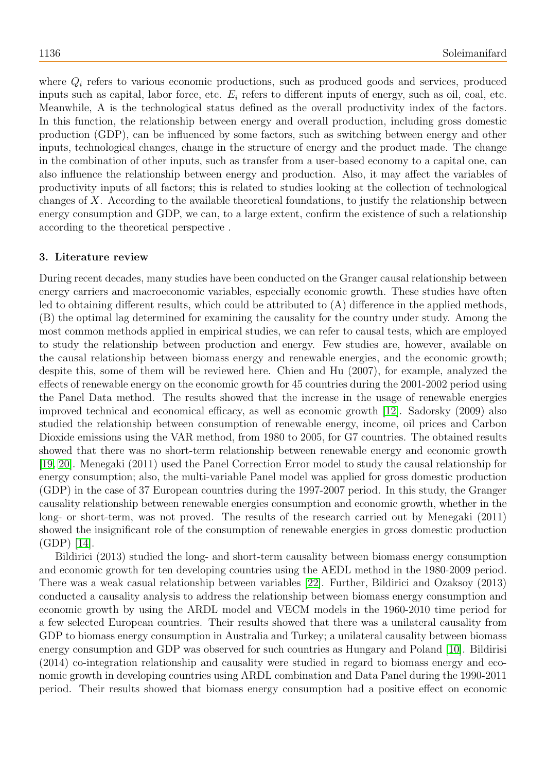where  $Q_i$  refers to various economic productions, such as produced goods and services, produced inputs such as capital, labor force, etc.  $E_i$  refers to different inputs of energy, such as oil, coal, etc. Meanwhile, A is the technological status defined as the overall productivity index of the factors. In this function, the relationship between energy and overall production, including gross domestic production (GDP), can be influenced by some factors, such as switching between energy and other inputs, technological changes, change in the structure of energy and the product made. The change in the combination of other inputs, such as transfer from a user-based economy to a capital one, can also influence the relationship between energy and production. Also, it may affect the variables of productivity inputs of all factors; this is related to studies looking at the collection of technological changes of X. According to the available theoretical foundations, to justify the relationship between energy consumption and GDP, we can, to a large extent, confirm the existence of such a relationship according to the theoretical perspective .

#### 3. Literature review

During recent decades, many studies have been conducted on the Granger causal relationship between energy carriers and macroeconomic variables, especially economic growth. These studies have often led to obtaining different results, which could be attributed to (A) difference in the applied methods, (B) the optimal lag determined for examining the causality for the country under study. Among the most common methods applied in empirical studies, we can refer to causal tests, which are employed to study the relationship between production and energy. Few studies are, however, available on the causal relationship between biomass energy and renewable energies, and the economic growth; despite this, some of them will be reviewed here. Chien and Hu (2007), for example, analyzed the effects of renewable energy on the economic growth for 45 countries during the 2001-2002 period using the Panel Data method. The results showed that the increase in the usage of renewable energies improved technical and economical efficacy, as well as economic growth [\[12\]](#page-7-3). Sadorsky (2009) also studied the relationship between consumption of renewable energy, income, oil prices and Carbon Dioxide emissions using the VAR method, from 1980 to 2005, for G7 countries. The obtained results showed that there was no short-term relationship between renewable energy and economic growth [\[19,](#page-8-3) [20\]](#page-8-4). Menegaki (2011) used the Panel Correction Error model to study the causal relationship for energy consumption; also, the multi-variable Panel model was applied for gross domestic production (GDP) in the case of 37 European countries during the 1997-2007 period. In this study, the Granger causality relationship between renewable energies consumption and economic growth, whether in the long- or short-term, was not proved. The results of the research carried out by Menegaki (2011) showed the insignificant role of the consumption of renewable energies in gross domestic production (GDP) [\[14\]](#page-8-5).

Bildirici (2013) studied the long- and short-term causality between biomass energy consumption and economic growth for ten developing countries using the AEDL method in the 1980-2009 period. There was a weak casual relationship between variables [\[22\]](#page-8-6). Further, Bildirici and Ozaksoy (2013) conducted a causality analysis to address the relationship between biomass energy consumption and economic growth by using the ARDL model and VECM models in the 1960-2010 time period for a few selected European countries. Their results showed that there was a unilateral causality from GDP to biomass energy consumption in Australia and Turkey; a unilateral causality between biomass energy consumption and GDP was observed for such countries as Hungary and Poland [\[10\]](#page-7-4). Bildirisi (2014) co-integration relationship and causality were studied in regard to biomass energy and economic growth in developing countries using ARDL combination and Data Panel during the 1990-2011 period. Their results showed that biomass energy consumption had a positive effect on economic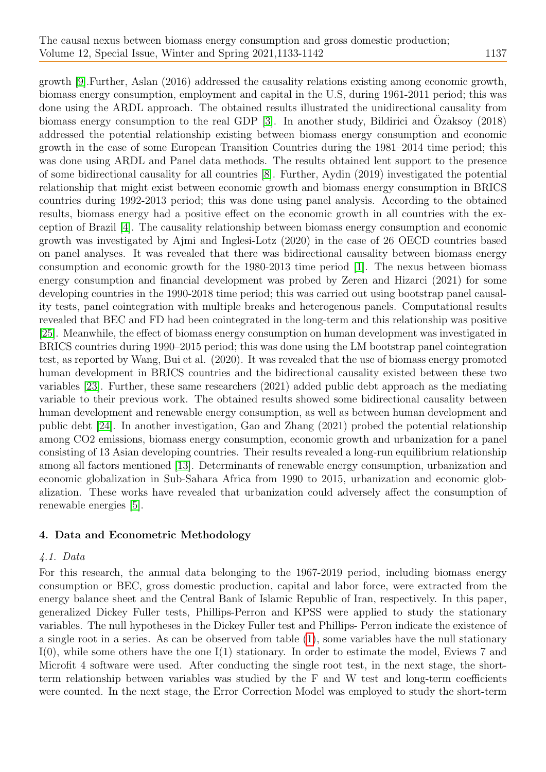growth [\[9\]](#page-7-5).Further, Aslan (2016) addressed the causality relations existing among economic growth, biomass energy consumption, employment and capital in the U.S, during 1961-2011 period; this was done using the ARDL approach. The obtained results illustrated the unidirectional causality from biomass energy consumption to the real GDP  $[3]$ . In another study, Bildirici and Ozaksoy  $(2018)$ addressed the potential relationship existing between biomass energy consumption and economic growth in the case of some European Transition Countries during the 1981–2014 time period; this was done using ARDL and Panel data methods. The results obtained lent support to the presence of some bidirectional causality for all countries [\[8\]](#page-7-7). Further, Aydin (2019) investigated the potential relationship that might exist between economic growth and biomass energy consumption in BRICS countries during 1992-2013 period; this was done using panel analysis. According to the obtained results, biomass energy had a positive effect on the economic growth in all countries with the exception of Brazil [\[4\]](#page-7-8). The causality relationship between biomass energy consumption and economic growth was investigated by Ajmi and Inglesi-Lotz (2020) in the case of 26 OECD countries based on panel analyses. It was revealed that there was bidirectional causality between biomass energy consumption and economic growth for the 1980-2013 time period [\[1\]](#page-7-9). The nexus between biomass energy consumption and financial development was probed by Zeren and Hizarci (2021) for some developing countries in the 1990-2018 time period; this was carried out using bootstrap panel causality tests, panel cointegration with multiple breaks and heterogenous panels. Computational results revealed that BEC and FD had been cointegrated in the long-term and this relationship was positive [\[25\]](#page-8-7). Meanwhile, the effect of biomass energy consumption on human development was investigated in BRICS countries during 1990–2015 period; this was done using the LM bootstrap panel cointegration test, as reported by Wang, Bui et al. (2020). It was revealed that the use of biomass energy promoted human development in BRICS countries and the bidirectional causality existed between these two variables [\[23\]](#page-8-8). Further, these same researchers (2021) added public debt approach as the mediating variable to their previous work. The obtained results showed some bidirectional causality between human development and renewable energy consumption, as well as between human development and public debt [\[24\]](#page-8-9). In another investigation, Gao and Zhang (2021) probed the potential relationship among CO2 emissions, biomass energy consumption, economic growth and urbanization for a panel consisting of 13 Asian developing countries. Their results revealed a long-run equilibrium relationship among all factors mentioned [\[13\]](#page-7-10). Determinants of renewable energy consumption, urbanization and economic globalization in Sub-Sahara Africa from 1990 to 2015, urbanization and economic globalization. These works have revealed that urbanization could adversely affect the consumption of renewable energies [\[5\]](#page-7-11).

# 4. Data and Econometric Methodology

### 4.1. Data

For this research, the annual data belonging to the 1967-2019 period, including biomass energy consumption or BEC, gross domestic production, capital and labor force, were extracted from the energy balance sheet and the Central Bank of Islamic Republic of Iran, respectively. In this paper, generalized Dickey Fuller tests, Phillips-Perron and KPSS were applied to study the stationary variables. The null hypotheses in the Dickey Fuller test and Phillips- Perron indicate the existence of a single root in a series. As can be observed from table [\(1\)](#page-8-10), some variables have the null stationary I(0), while some others have the one I(1) stationary. In order to estimate the model, Eviews 7 and Microfit 4 software were used. After conducting the single root test, in the next stage, the shortterm relationship between variables was studied by the F and W test and long-term coefficients were counted. In the next stage, the Error Correction Model was employed to study the short-term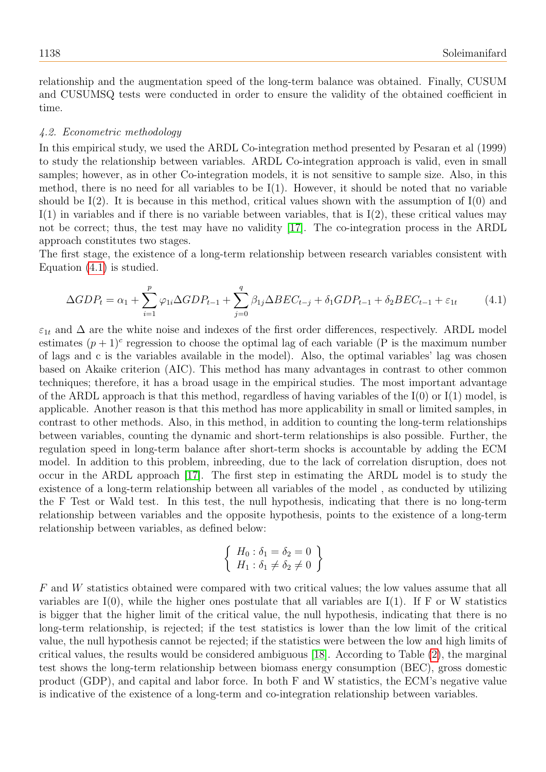relationship and the augmentation speed of the long-term balance was obtained. Finally, CUSUM and CUSUMSQ tests were conducted in order to ensure the validity of the obtained coefficient in time.

#### 4.2. Econometric methodology

In this empirical study, we used the ARDL Co-integration method presented by Pesaran et al (1999) to study the relationship between variables. ARDL Co-integration approach is valid, even in small samples; however, as in other Co-integration models, it is not sensitive to sample size. Also, in this method, there is no need for all variables to be  $I(1)$ . However, it should be noted that no variable should be  $I(2)$ . It is because in this method, critical values shown with the assumption of  $I(0)$  and  $I(1)$  in variables and if there is no variable between variables, that is  $I(2)$ , these critical values may not be correct; thus, the test may have no validity [\[17\]](#page-8-11). The co-integration process in the ARDL approach constitutes two stages.

The first stage, the existence of a long-term relationship between research variables consistent with Equation [\(4.1\)](#page-5-0) is studied.

<span id="page-5-0"></span>
$$
\Delta GDP_t = \alpha_1 + \sum_{i=1}^p \varphi_{1i} \Delta GDP_{t-1} + \sum_{j=0}^q \beta_{1j} \Delta BEC_{t-j} + \delta_1 GDP_{t-1} + \delta_2 BEC_{t-1} + \varepsilon_{1t} \tag{4.1}
$$

 $\varepsilon_{1t}$  and  $\Delta$  are the white noise and indexes of the first order differences, respectively. ARDL model estimates  $(p+1)^c$  regression to choose the optimal lag of each variable (P is the maximum number of lags and c is the variables available in the model). Also, the optimal variables' lag was chosen based on Akaike criterion (AIC). This method has many advantages in contrast to other common techniques; therefore, it has a broad usage in the empirical studies. The most important advantage of the ARDL approach is that this method, regardless of having variables of the  $I(0)$  or  $I(1)$  model, is applicable. Another reason is that this method has more applicability in small or limited samples, in contrast to other methods. Also, in this method, in addition to counting the long-term relationships between variables, counting the dynamic and short-term relationships is also possible. Further, the regulation speed in long-term balance after short-term shocks is accountable by adding the ECM model. In addition to this problem, inbreeding, due to the lack of correlation disruption, does not occur in the ARDL approach [\[17\]](#page-8-11). The first step in estimating the ARDL model is to study the existence of a long-term relationship between all variables of the model , as conducted by utilizing the F Test or Wald test. In this test, the null hypothesis, indicating that there is no long-term relationship between variables and the opposite hypothesis, points to the existence of a long-term relationship between variables, as defined below:

<span id="page-5-1"></span>
$$
\left\{\n \begin{array}{l}\n H_0: \delta_1 = \delta_2 = 0 \\
 H_1: \delta_1 \neq \delta_2 \neq 0\n \end{array}\n\right\}
$$

F and W statistics obtained were compared with two critical values; the low values assume that all variables are  $I(0)$ , while the higher ones postulate that all variables are  $I(1)$ . If F or W statistics is bigger that the higher limit of the critical value, the null hypothesis, indicating that there is no long-term relationship, is rejected; if the test statistics is lower than the low limit of the critical value, the null hypothesis cannot be rejected; if the statistics were between the low and high limits of critical values, the results would be considered ambiguous [\[18\]](#page-8-12). According to Table [\(2\)](#page-8-13), the marginal test shows the long-term relationship between biomass energy consumption (BEC), gross domestic product (GDP), and capital and labor force. In both F and W statistics, the ECM's negative value is indicative of the existence of a long-term and co-integration relationship between variables.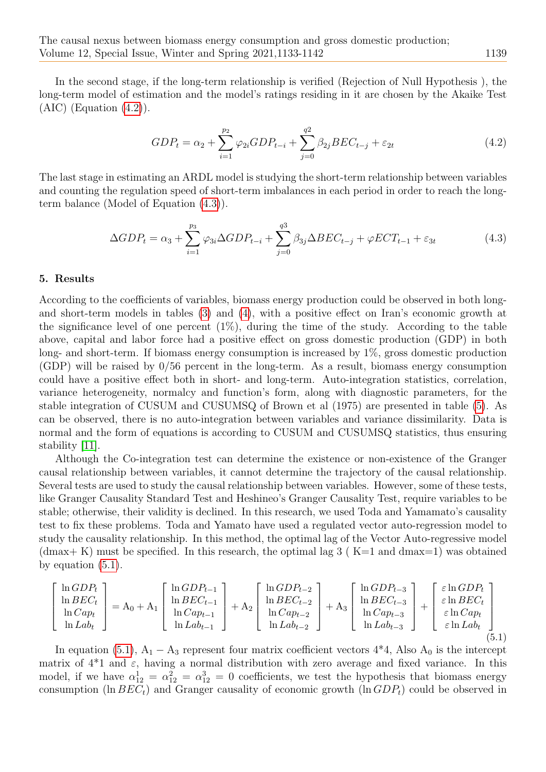In the second stage, if the long-term relationship is verified (Rejection of Null Hypothesis ), the long-term model of estimation and the model's ratings residing in it are chosen by the Akaike Test  $(AIC)$  (Equation  $(4.2)$ ).

$$
GDP_t = \alpha_2 + \sum_{i=1}^{p_2} \varphi_{2i} GDP_{t-i} + \sum_{j=0}^{q_2} \beta_{2j} BEC_{t-j} + \varepsilon_{2t}
$$
\n(4.2)

The last stage in estimating an ARDL model is studying the short-term relationship between variables and counting the regulation speed of short-term imbalances in each period in order to reach the longterm balance (Model of Equation [\(4.3\)](#page-6-0)).

<span id="page-6-0"></span>
$$
\Delta GDP_t = \alpha_3 + \sum_{i=1}^{p_3} \varphi_{3i} \Delta GDP_{t-i} + \sum_{j=0}^{q_3} \beta_{3j} \Delta BEC_{t-j} + \varphi ECT_{t-1} + \varepsilon_{3t} \tag{4.3}
$$

#### 5. Results

<span id="page-6-1"></span> $\sqrt{ }$  $\overline{1}$  $\overline{1}$  $\overline{1}$ 

According to the coefficients of variables, biomass energy production could be observed in both longand short-term models in tables [\(3\)](#page-9-0) and [\(4\)](#page-9-1), with a positive effect on Iran's economic growth at the significance level of one percent  $(1\%)$ , during the time of the study. According to the table above, capital and labor force had a positive effect on gross domestic production (GDP) in both long- and short-term. If biomass energy consumption is increased by 1%, gross domestic production (GDP) will be raised by 0/56 percent in the long-term. As a result, biomass energy consumption could have a positive effect both in short- and long-term. Auto-integration statistics, correlation, variance heterogeneity, normalcy and function's form, along with diagnostic parameters, for the stable integration of CUSUM and CUSUMSQ of Brown et al (1975) are presented in table [\(5\)](#page-9-2). As can be observed, there is no auto-integration between variables and variance dissimilarity. Data is normal and the form of equations is according to CUSUM and CUSUMSQ statistics, thus ensuring stability [\[11\]](#page-7-12).

Although the Co-integration test can determine the existence or non-existence of the Granger causal relationship between variables, it cannot determine the trajectory of the causal relationship. Several tests are used to study the causal relationship between variables. However, some of these tests, like Granger Causality Standard Test and Heshineo's Granger Causality Test, require variables to be stable; otherwise, their validity is declined. In this research, we used Toda and Yamamato's causality test to fix these problems. Toda and Yamato have used a regulated vector auto-regression model to study the causality relationship. In this method, the optimal lag of the Vector Auto-regressive model  $(\text{dmax}+K)$  must be specified. In this research, the optimal lag 3 (K=1 and dmax=1) was obtained by equation  $(5.1)$ .

$$
\begin{bmatrix}\n\ln GDP_t \\
\ln BEC_t \\
\ln Cap_t \\
\ln Lab_t\n\end{bmatrix} = A_0 + A_1 \begin{bmatrix}\n\ln GDP_{t-1} \\
\ln BEC_{t-1} \\
\ln Cap_{t-1} \\
\ln Lab_{t-1}\n\end{bmatrix} + A_2 \begin{bmatrix}\n\ln GDP_{t-2} \\
\ln BEC_{t-2} \\
\ln Cap_{t-2} \\
\ln Lab_{t-2}\n\end{bmatrix} + A_3 \begin{bmatrix}\n\ln GDP_{t-3} \\
\ln BEC_{t-3} \\
\ln Cap_{t-3} \\
\ln Lab_{t-3}\n\end{bmatrix} + \begin{bmatrix}\n\varepsilon \ln GDP_t \\
\varepsilon \ln BEC_t \\
\varepsilon \ln Cap_t \\
\varepsilon \ln Lab_t\n\end{bmatrix}
$$
\n(5.1)

In equation [\(5.1\)](#page-6-1),  $A_1 - A_3$  represent four matrix coefficient vectors  $4*4$ , Also  $A_0$  is the intercept matrix of  $4*1$  and  $\varepsilon$ , having a normal distribution with zero average and fixed variance. In this model, if we have  $\alpha_{12}^1 = \alpha_{12}^2 = \alpha_{12}^3 = 0$  coefficients, we test the hypothesis that biomass energy consumption (ln  $BEC_t$ ) and Granger causality of economic growth (ln  $GDP_t$ ) could be observed in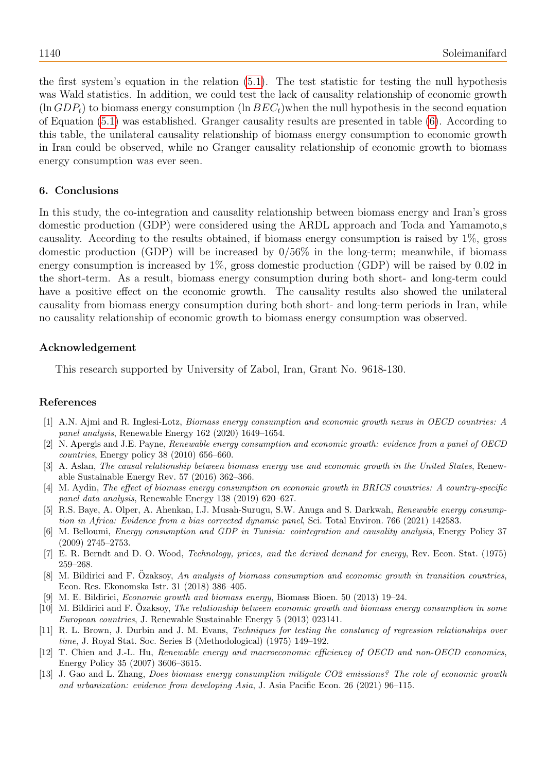the first system's equation in the relation [\(5.1\)](#page-6-1). The test statistic for testing the null hypothesis was Wald statistics. In addition, we could test the lack of causality relationship of economic growth  $(\ln GDP_t)$  to biomass energy consumption  $(\ln BEC_t)$  when the null hypothesis in the second equation of Equation [\(5.1\)](#page-6-1) was established. Granger causality results are presented in table [\(6\)](#page-9-3). According to this table, the unilateral causality relationship of biomass energy consumption to economic growth in Iran could be observed, while no Granger causality relationship of economic growth to biomass energy consumption was ever seen.

## 6. Conclusions

In this study, the co-integration and causality relationship between biomass energy and Iran's gross domestic production (GDP) were considered using the ARDL approach and Toda and Yamamoto,s causality. According to the results obtained, if biomass energy consumption is raised by 1%, gross domestic production (GDP) will be increased by 0/56% in the long-term; meanwhile, if biomass energy consumption is increased by 1%, gross domestic production (GDP) will be raised by 0.02 in the short-term. As a result, biomass energy consumption during both short- and long-term could have a positive effect on the economic growth. The causality results also showed the unilateral causality from biomass energy consumption during both short- and long-term periods in Iran, while no causality relationship of economic growth to biomass energy consumption was observed.

## Acknowledgement

This research supported by University of Zabol, Iran, Grant No. 9618-130.

# References

- <span id="page-7-9"></span>[1] A.N. Ajmi and R. Inglesi-Lotz, Biomass energy consumption and economic growth nexus in OECD countries: A panel analysis, Renewable Energy 162 (2020) 1649–1654.
- <span id="page-7-1"></span>[2] N. Apergis and J.E. Payne, Renewable energy consumption and economic growth: evidence from a panel of OECD countries, Energy policy 38 (2010) 656–660.
- <span id="page-7-6"></span>[3] A. Aslan, The causal relationship between biomass energy use and economic growth in the United States, Renewable Sustainable Energy Rev. 57 (2016) 362–366.
- <span id="page-7-8"></span>[4] M. Aydin, The effect of biomass energy consumption on economic growth in BRICS countries: A country-specific panel data analysis, Renewable Energy 138 (2019) 620–627.
- <span id="page-7-11"></span>[5] R.S. Baye, A. Olper, A. Ahenkan, I.J. Musah-Surugu, S.W. Anuga and S. Darkwah, Renewable energy consumption in Africa: Evidence from a bias corrected dynamic panel, Sci. Total Environ. 766 (2021) 142583.
- <span id="page-7-0"></span>[6] M. Belloumi, Energy consumption and GDP in Tunisia: cointegration and causality analysis, Energy Policy 37 (2009) 2745–2753.
- <span id="page-7-2"></span>[7] E. R. Berndt and D. O. Wood, Technology, prices, and the derived demand for energy, Rev. Econ. Stat. (1975) 259–268.
- <span id="page-7-7"></span>[8] M. Bildirici and F. Ozaksoy, An analysis of biomass consumption and economic growth in transition countries, Econ. Res. Ekonomska Istr. 31 (2018) 386–405.
- <span id="page-7-5"></span>[9] M. E. Bildirici, Economic growth and biomass energy, Biomass Bioen. 50 (2013) 19–24.
- <span id="page-7-4"></span> $[10]$  M. Bildirici and F. Ozaksoy, The relationship between economic growth and biomass energy consumption in some European countries, J. Renewable Sustainable Energy 5 (2013) 023141.
- <span id="page-7-12"></span>[11] R. L. Brown, J. Durbin and J. M. Evans, Techniques for testing the constancy of regression relationships over time, J. Royal Stat. Soc. Series B (Methodological) (1975) 149–192.
- <span id="page-7-3"></span>[12] T. Chien and J.-L. Hu, Renewable energy and macroeconomic efficiency of OECD and non-OECD economies, Energy Policy 35 (2007) 3606–3615.
- <span id="page-7-10"></span>[13] J. Gao and L. Zhang, Does biomass energy consumption mitigate CO2 emissions? The role of economic growth and urbanization: evidence from developing Asia, J. Asia Pacific Econ. 26 (2021) 96–115.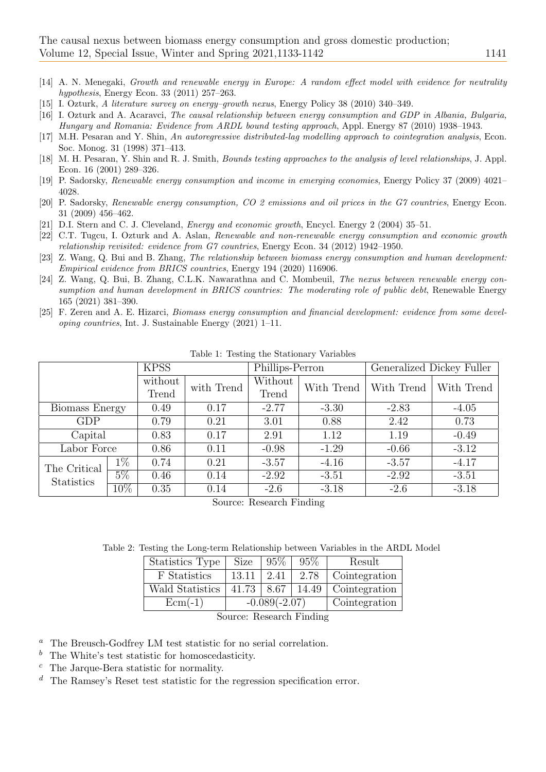- <span id="page-8-5"></span>[14] A. N. Menegaki, Growth and renewable energy in Europe: A random effect model with evidence for neutrality hypothesis, Energy Econ. 33 (2011) 257–263.
- <span id="page-8-0"></span>[15] I. Ozturk, A literature survey on energy–growth nexus, Energy Policy 38 (2010) 340–349.
- <span id="page-8-1"></span>[16] I. Ozturk and A. Acaravci, The causal relationship between energy consumption and GDP in Albania, Bulgaria, Hungary and Romania: Evidence from ARDL bound testing approach, Appl. Energy 87 (2010) 1938–1943.
- <span id="page-8-11"></span>[17] M.H. Pesaran and Y. Shin, An autoregressive distributed-lag modelling approach to cointegration analysis, Econ. Soc. Monog. 31 (1998) 371–413.
- <span id="page-8-12"></span>[18] M. H. Pesaran, Y. Shin and R. J. Smith, Bounds testing approaches to the analysis of level relationships, J. Appl. Econ. 16 (2001) 289–326.
- <span id="page-8-3"></span>[19] P. Sadorsky, Renewable energy consumption and income in emerging economies, Energy Policy 37 (2009) 4021– 4028.
- <span id="page-8-4"></span>[20] P. Sadorsky, Renewable energy consumption, CO 2 emissions and oil prices in the G7 countries, Energy Econ. 31 (2009) 456–462.
- <span id="page-8-2"></span>[21] D.I. Stern and C. J. Cleveland, Energy and economic growth, Encycl. Energy 2 (2004) 35–51.
- <span id="page-8-6"></span>[22] C.T. Tugcu, I. Ozturk and A. Aslan, Renewable and non-renewable energy consumption and economic growth relationship revisited: evidence from G7 countries, Energy Econ. 34 (2012) 1942–1950.
- <span id="page-8-8"></span>[23] Z. Wang, Q. Bui and B. Zhang, The relationship between biomass energy consumption and human development: Empirical evidence from BRICS countries, Energy 194 (2020) 116906.
- <span id="page-8-9"></span>[24] Z. Wang, Q. Bui, B. Zhang, C.L.K. Nawarathna and C. Mombeuil, The nexus between renewable energy consumption and human development in BRICS countries: The moderating role of public debt, Renewable Energy 165 (2021) 381–390.
- <span id="page-8-7"></span>[25] F. Zeren and A. E. Hizarci, Biomass energy consumption and financial development: evidence from some developing countries, Int. J. Sustainable Energy (2021) 1–11.

|                                   |        | <b>KPSS</b> |            | Phillips-Perron |            | Generalized Dickey Fuller |            |
|-----------------------------------|--------|-------------|------------|-----------------|------------|---------------------------|------------|
|                                   |        | without     | with Trend | Without         | With Trend | With Trend                | With Trend |
|                                   |        | Trend       |            | Trend           |            |                           |            |
| Biomass Energy                    |        | 0.49        | 0.17       | $-2.77$         | $-3.30$    | $-2.83$                   | $-4.05$    |
| <b>GDP</b>                        |        | 0.79        | 0.21       | 3.01            | 0.88       | 2.42                      | 0.73       |
| Capital                           |        | 0.83        | 0.17       | 2.91            | 1.12       | 1.19                      | $-0.49$    |
| Labor Force                       |        | 0.86        | 0.11       | $-0.98$         | $-1.29$    | $-0.66$                   | $-3.12$    |
| The Critical<br><b>Statistics</b> | $1\%$  | 0.74        | 0.21       | $-3.57$         | $-4.16$    | $-3.57$                   | $-4.17$    |
|                                   | $5\%$  | 0.46        | 0.14       | $-2.92$         | $-3.51$    | $-2.92$                   | $-3.51$    |
|                                   | $10\%$ | 0.35        | 0.14       | $-2.6$          | $-3.18$    | $-2.6$                    | $-3.18$    |

<span id="page-8-10"></span>Table 1: Testing the Stationary Variables

Source: Research Finding

Table 2: Testing the Long-term Relationship between Variables in the ARDL Model

<span id="page-8-13"></span>

| Statistics Type | <b>Size</b>      | 95%  | 95%           | Result                  |
|-----------------|------------------|------|---------------|-------------------------|
| F Statistics    | 13.11            | 2.41 | 2.78          | Cointegration           |
| Wald Statistics | $41.73 \pm 8.67$ |      |               | $14.49$   Cointegration |
| $Ecm(-1)$       | $-0.089(-2.07)$  |      | Cointegration |                         |

Source: Research Finding

<sup>a</sup> The Breusch-Godfrey LM test statistic for no serial correlation.

- $<sup>b</sup>$  The White's test statistic for homoscedasticity.</sup>
- <sup>c</sup> The Jarque-Bera statistic for normality.
- $d$  The Ramsey's Reset test statistic for the regression specification error.